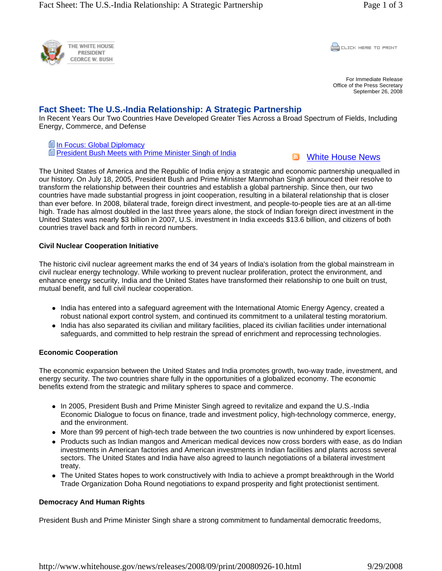

**CLICK HERE TO PRINT** 

For Immediate Release Office of the Press Secretary September 26, 2008

# **Fact Sheet: The U.S.-India Relationship: A Strategic Partnership**

In Recent Years Our Two Countries Have Developed Greater Ties Across a Broad Spectrum of Fields, Including Energy, Commerce, and Defense

**■In Focus: Global Diplomacy** President Bush Meets with Prime Minister Singh of India



The United States of America and the Republic of India enjoy a strategic and economic partnership unequalled in our history. On July 18, 2005, President Bush and Prime Minister Manmohan Singh announced their resolve to transform the relationship between their countries and establish a global partnership. Since then, our two countries have made substantial progress in joint cooperation, resulting in a bilateral relationship that is closer than ever before. In 2008, bilateral trade, foreign direct investment, and people-to-people ties are at an all-time high. Trade has almost doubled in the last three years alone, the stock of Indian foreign direct investment in the United States was nearly \$3 billion in 2007, U.S. investment in India exceeds \$13.6 billion, and citizens of both countries travel back and forth in record numbers.

#### **Civil Nuclear Cooperation Initiative**

The historic civil nuclear agreement marks the end of 34 years of India's isolation from the global mainstream in civil nuclear energy technology. While working to prevent nuclear proliferation, protect the environment, and enhance energy security, India and the United States have transformed their relationship to one built on trust, mutual benefit, and full civil nuclear cooperation.

- India has entered into a safeguard agreement with the International Atomic Energy Agency, created a robust national export control system, and continued its commitment to a unilateral testing moratorium.
- India has also separated its civilian and military facilities, placed its civilian facilities under international safeguards, and committed to help restrain the spread of enrichment and reprocessing technologies.

#### **Economic Cooperation**

The economic expansion between the United States and India promotes growth, two-way trade, investment, and energy security. The two countries share fully in the opportunities of a globalized economy. The economic benefits extend from the strategic and military spheres to space and commerce.

- In 2005, President Bush and Prime Minister Singh agreed to revitalize and expand the U.S.-India Economic Dialogue to focus on finance, trade and investment policy, high-technology commerce, energy, and the environment.
- More than 99 percent of high-tech trade between the two countries is now unhindered by export licenses.
- Products such as Indian mangos and American medical devices now cross borders with ease, as do Indian investments in American factories and American investments in Indian facilities and plants across several sectors. The United States and India have also agreed to launch negotiations of a bilateral investment treaty.
- The United States hopes to work constructively with India to achieve a prompt breakthrough in the World Trade Organization Doha Round negotiations to expand prosperity and fight protectionist sentiment.

# **Democracy And Human Rights**

President Bush and Prime Minister Singh share a strong commitment to fundamental democratic freedoms,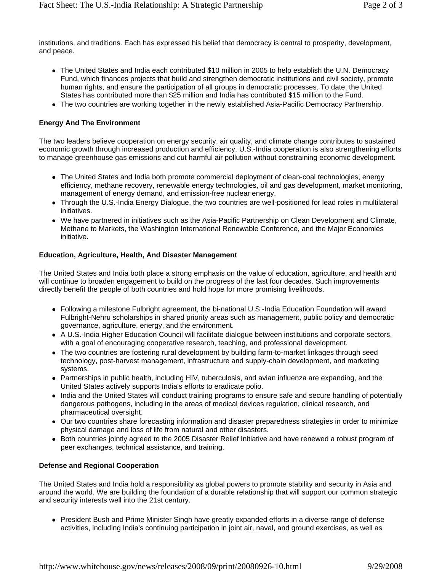institutions, and traditions. Each has expressed his belief that democracy is central to prosperity, development, and peace.

- The United States and India each contributed \$10 million in 2005 to help establish the U.N. Democracy Fund, which finances projects that build and strengthen democratic institutions and civil society, promote human rights, and ensure the participation of all groups in democratic processes. To date, the United States has contributed more than \$25 million and India has contributed \$15 million to the Fund.
- The two countries are working together in the newly established Asia-Pacific Democracy Partnership.

# **Energy And The Environment**

The two leaders believe cooperation on energy security, air quality, and climate change contributes to sustained economic growth through increased production and efficiency. U.S.-India cooperation is also strengthening efforts to manage greenhouse gas emissions and cut harmful air pollution without constraining economic development.

- The United States and India both promote commercial deployment of clean-coal technologies, energy efficiency, methane recovery, renewable energy technologies, oil and gas development, market monitoring, management of energy demand, and emission-free nuclear energy.
- Through the U.S.-India Energy Dialogue, the two countries are well-positioned for lead roles in multilateral initiatives.
- We have partnered in initiatives such as the Asia-Pacific Partnership on Clean Development and Climate, Methane to Markets, the Washington International Renewable Conference, and the Major Economies initiative.

#### **Education, Agriculture, Health, And Disaster Management**

The United States and India both place a strong emphasis on the value of education, agriculture, and health and will continue to broaden engagement to build on the progress of the last four decades. Such improvements directly benefit the people of both countries and hold hope for more promising livelihoods.

- Following a milestone Fulbright agreement, the bi-national U.S.-India Education Foundation will award Fulbright-Nehru scholarships in shared priority areas such as management, public policy and democratic governance, agriculture, energy, and the environment.
- A U.S.-India Higher Education Council will facilitate dialogue between institutions and corporate sectors, with a goal of encouraging cooperative research, teaching, and professional development.
- The two countries are fostering rural development by building farm-to-market linkages through seed technology, post-harvest management, infrastructure and supply-chain development, and marketing systems.
- Partnerships in public health, including HIV, tuberculosis, and avian influenza are expanding, and the United States actively supports India's efforts to eradicate polio.
- India and the United States will conduct training programs to ensure safe and secure handling of potentially dangerous pathogens, including in the areas of medical devices regulation, clinical research, and pharmaceutical oversight.
- Our two countries share forecasting information and disaster preparedness strategies in order to minimize physical damage and loss of life from natural and other disasters.
- Both countries jointly agreed to the 2005 Disaster Relief Initiative and have renewed a robust program of peer exchanges, technical assistance, and training.

# **Defense and Regional Cooperation**

The United States and India hold a responsibility as global powers to promote stability and security in Asia and around the world. We are building the foundation of a durable relationship that will support our common strategic and security interests well into the 21st century.

• President Bush and Prime Minister Singh have greatly expanded efforts in a diverse range of defense activities, including India's continuing participation in joint air, naval, and ground exercises, as well as